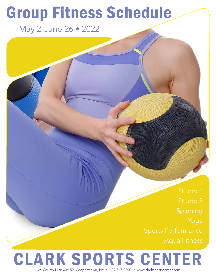# Group Fitness Schedule

May 2-June 26 • 2022

Spinning Yoga Aqua Fitness

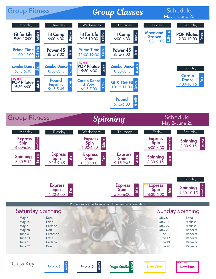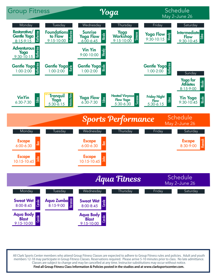

All Clark Sports Center members who attend Group Fitness Classes are expected to adhere to Group Fitness rules and policies. Adult and youth members 12-18 may participate in Group Fitness Classes. Reservations required. Please arrive 5-10 minutes prior to class. No late admittance. Classes are subject to change and may be cancelled at any time. Instructor substitutions may occur without notice. **Find all Group Fitness Class Information & Policies posted in the studios and at www.clarksportscenter.com.**